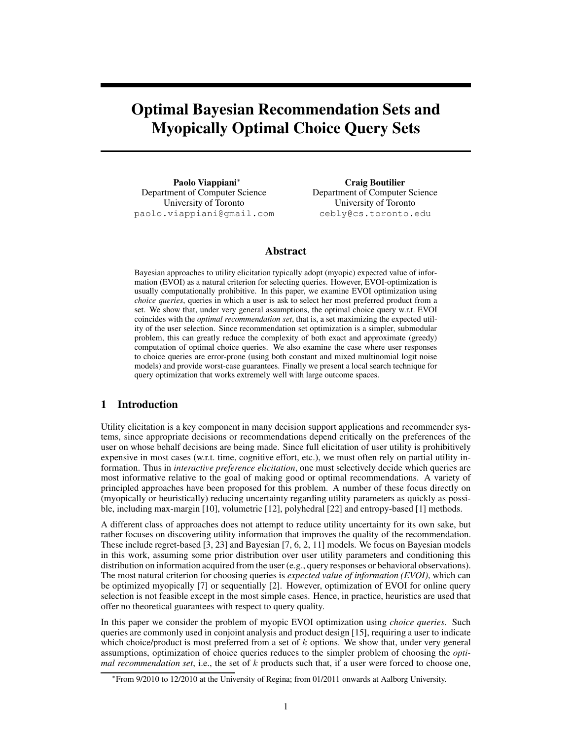# Optimal Bayesian Recommendation Sets and Myopically Optimal Choice Query Sets

Paolo Viappiani<sup>∗</sup> Department of Computer Science University of Toronto paolo.viappiani@gmail.com

Craig Boutilier Department of Computer Science University of Toronto cebly@cs.toronto.edu

# Abstract

Bayesian approaches to utility elicitation typically adopt (myopic) expected value of information (EVOI) as a natural criterion for selecting queries. However, EVOI-optimization is usually computationally prohibitive. In this paper, we examine EVOI optimization using *choice queries*, queries in which a user is ask to select her most preferred product from a set. We show that, under very general assumptions, the optimal choice query w.r.t. EVOI coincides with the *optimal recommendation set*, that is, a set maximizing the expected utility of the user selection. Since recommendation set optimization is a simpler, submodular problem, this can greatly reduce the complexity of both exact and approximate (greedy) computation of optimal choice queries. We also examine the case where user responses to choice queries are error-prone (using both constant and mixed multinomial logit noise models) and provide worst-case guarantees. Finally we present a local search technique for query optimization that works extremely well with large outcome spaces.

# 1 Introduction

Utility elicitation is a key component in many decision support applications and recommender systems, since appropriate decisions or recommendations depend critically on the preferences of the user on whose behalf decisions are being made. Since full elicitation of user utility is prohibitively expensive in most cases (w.r.t. time, cognitive effort, etc.), we must often rely on partial utility information. Thus in *interactive preference elicitation*, one must selectively decide which queries are most informative relative to the goal of making good or optimal recommendations. A variety of principled approaches have been proposed for this problem. A number of these focus directly on (myopically or heuristically) reducing uncertainty regarding utility parameters as quickly as possible, including max-margin [10], volumetric [12], polyhedral [22] and entropy-based [1] methods.

A different class of approaches does not attempt to reduce utility uncertainty for its own sake, but rather focuses on discovering utility information that improves the quality of the recommendation. These include regret-based [3, 23] and Bayesian [7, 6, 2, 11] models. We focus on Bayesian models in this work, assuming some prior distribution over user utility parameters and conditioning this distribution on information acquired from the user (e.g., query responses or behavioral observations). The most natural criterion for choosing queries is *expected value of information (EVOI)*, which can be optimized myopically [7] or sequentially [2]. However, optimization of EVOI for online query selection is not feasible except in the most simple cases. Hence, in practice, heuristics are used that offer no theoretical guarantees with respect to query quality.

In this paper we consider the problem of myopic EVOI optimization using *choice queries*. Such queries are commonly used in conjoint analysis and product design [15], requiring a user to indicate which choice/product is most preferred from a set of  $k$  options. We show that, under very general assumptions, optimization of choice queries reduces to the simpler problem of choosing the *opti* $mal recommandation set$ , i.e., the set of  $k$  products such that, if a user were forced to choose one,

<sup>∗</sup> From 9/2010 to 12/2010 at the University of Regina; from 01/2011 onwards at Aalborg University.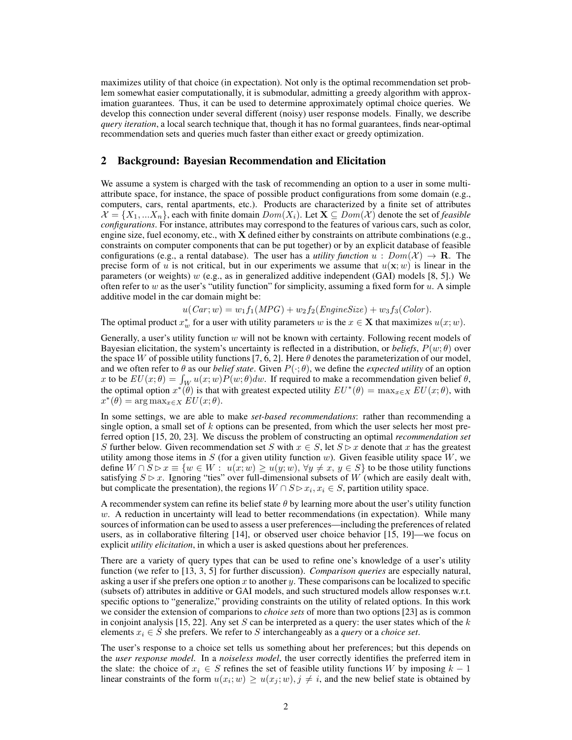maximizes utility of that choice (in expectation). Not only is the optimal recommendation set problem somewhat easier computationally, it is submodular, admitting a greedy algorithm with approximation guarantees. Thus, it can be used to determine approximately optimal choice queries. We develop this connection under several different (noisy) user response models. Finally, we describe *query iteration*, a local search technique that, though it has no formal guarantees, finds near-optimal recommendation sets and queries much faster than either exact or greedy optimization.

#### 2 Background: Bayesian Recommendation and Elicitation

We assume a system is charged with the task of recommending an option to a user in some multiattribute space, for instance, the space of possible product configurations from some domain (e.g., computers, cars, rental apartments, etc.). Products are characterized by a finite set of attributes  $\mathcal{X} = \{X_1, \ldots, X_n\}$ , each with finite domain  $Dom(X_i)$ . Let  $\mathbf{X} \subseteq Dom(\mathcal{X})$  denote the set of *feasible configurations*. For instance, attributes may correspond to the features of various cars, such as color, engine size, fuel economy, etc., with  $X$  defined either by constraints on attribute combinations (e.g., constraints on computer components that can be put together) or by an explicit database of feasible configurations (e.g., a rental database). The user has a *utility function*  $u : Dom(X) \to \mathbf{R}$ . The precise form of u is not critical, but in our experiments we assume that  $u(\mathbf{x}; w)$  is linear in the parameters (or weights)  $w$  (e.g., as in generalized additive independent (GAI) models [8, 5].) We often refer to w as the user's "utility function" for simplicity, assuming a fixed form for  $u$ . A simple additive model in the car domain might be:

$$
u(Car; w) = w_1 f_1(MPG) + w_2 f_2(EngineeringSize) + w_3 f_3(Color).
$$

The optimal product  $x_w^*$  for a user with utility parameters w is the  $x \in \mathbf{X}$  that maximizes  $u(x; w)$ .

Generally, a user's utility function  $w$  will not be known with certainty. Following recent models of Bayesian elicitation, the system's uncertainty is reflected in a distribution, or *beliefs*,  $P(w; \theta)$  over the space W of possible utility functions [7, 6, 2]. Here  $\theta$  denotes the parameterization of our model, and we often refer to  $\theta$  as our *belief state*. Given  $P(\cdot; \theta)$ , we define the *expected utility* of an option x to be  $EU(x; \theta) = \int_W u(x; w)P(w; \theta)dw$ . If required to make a recommendation given belief  $\theta$ , the optimal option  $x^*(\theta)$  is that with greatest expected utility  $EU^*(\theta) = \max_{x \in X} EU(x; \theta)$ , with  $x^*(\theta) = \argmax_{x \in X} EU(x; \theta).$ 

In some settings, we are able to make *set-based recommendations*: rather than recommending a single option, a small set of  $k$  options can be presented, from which the user selects her most preferred option [15, 20, 23]. We discuss the problem of constructing an optimal *recommendation set* S further below. Given recommendation set S with  $x \in S$ , let  $S \triangleright x$  denote that x has the greatest utility among those items in S (for a given utility function w). Given feasible utility space  $W$ , we define  $W \cap \overline{S} \triangleright x \equiv \{w \in W : u(x; w) \geq u(y; w), \forall y \neq x, y \in S\}$  to be those utility functions satisfying  $S \triangleright x$ . Ignoring "ties" over full-dimensional subsets of W (which are easily dealt with, but complicate the presentation), the regions  $W \cap S \triangleright x_i, x_i \in S$ , partition utility space.

A recommender system can refine its belief state  $\theta$  by learning more about the user's utility function  $w$ . A reduction in uncertainty will lead to better recommendations (in expectation). While many sources of information can be used to assess a user preferences—including the preferences of related users, as in collaborative filtering [14], or observed user choice behavior [15, 19]—we focus on explicit *utility elicitation*, in which a user is asked questions about her preferences.

There are a variety of query types that can be used to refine one's knowledge of a user's utility function (we refer to [13, 3, 5] for further discussion). *Comparison queries* are especially natural, asking a user if she prefers one option  $x$  to another  $y$ . These comparisons can be localized to specific (subsets of) attributes in additive or GAI models, and such structured models allow responses w.r.t. specific options to "generalize," providing constraints on the utility of related options. In this work we consider the extension of comparions to *choice sets* of more than two options [23] as is common in conjoint analysis [15, 22]. Any set  $S$  can be interpreted as a query: the user states which of the  $k$ elements  $x_i \in S$  she prefers. We refer to S interchangeably as a *query* or a *choice set*.

The user's response to a choice set tells us something about her preferences; but this depends on the *user response model*. In a *noiseless model*, the user correctly identifies the preferred item in the slate: the choice of  $x_i \in S$  refines the set of feasible utility functions W by imposing  $k - 1$ linear constraints of the form  $u(x_i; w) \ge u(x_j; w), j \ne i$ , and the new belief state is obtained by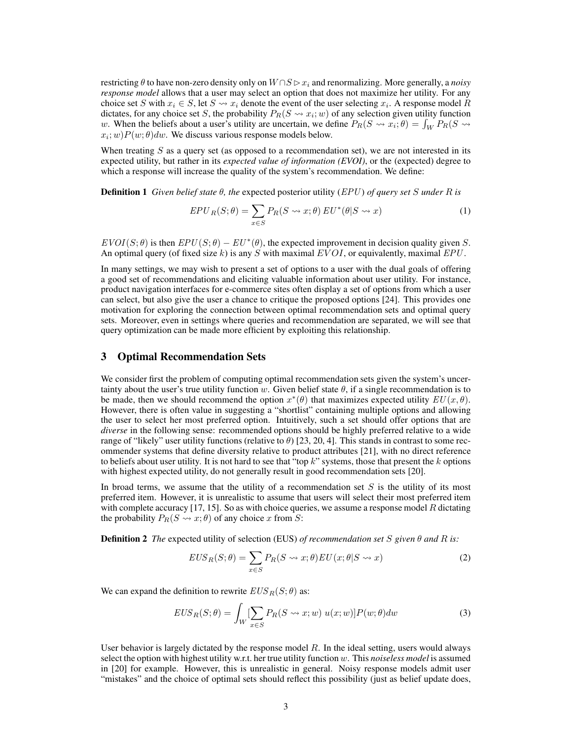restricting  $\theta$  to have non-zero density only on  $W \cap S \triangleright x_i$  and renormalizing. More generally, a *noisy response model* allows that a user may select an option that does not maximize her utility. For any choice set S with  $x_i \in S$ , let  $S \leadsto x_i$  denote the event of the user selecting  $x_i$ . A response model R dictates, for any choice set S, the probability  $P_R(S \leadsto x_i; w)$  of any selection given utility function w. When the beliefs about a user's utility are uncertain, we define  $P_R(S \leadsto x_i; \theta) = \int_W P_R(S \leadsto x_i; \theta)$  $(x_i; w)P(w; \theta)dw$ . We discuss various response models below.

When treating  $S$  as a query set (as opposed to a recommendation set), we are not interested in its expected utility, but rather in its *expected value of information (EVOI)*, or the (expected) degree to which a response will increase the quality of the system's recommendation. We define:

Definition 1 *Given belief state* θ*, the* expected posterior utility (EPU ) *of query set* S *under* R *is*

$$
EPU_R(S; \theta) = \sum_{x \in S} P_R(S \leadsto x; \theta) EU^*(\theta|S \leadsto x)
$$
 (1)

 $EVOI(S; \theta)$  is then  $EPU(S; \theta) - EU^*(\theta)$ , the expected improvement in decision quality given S. An optimal query (of fixed size k) is any S with maximal  $EVOI$ , or equivalently, maximal  $EPU$ .

In many settings, we may wish to present a set of options to a user with the dual goals of offering a good set of recommendations and eliciting valuable information about user utility. For instance, product navigation interfaces for e-commerce sites often display a set of options from which a user can select, but also give the user a chance to critique the proposed options [24]. This provides one motivation for exploring the connection between optimal recommendation sets and optimal query sets. Moreover, even in settings where queries and recommendation are separated, we will see that query optimization can be made more efficient by exploiting this relationship.

#### 3 Optimal Recommendation Sets

We consider first the problem of computing optimal recommendation sets given the system's uncertainty about the user's true utility function w. Given belief state  $\theta$ , if a single recommendation is to be made, then we should recommend the option  $x^*(\theta)$  that maximizes expected utility  $EU(x, \theta)$ . However, there is often value in suggesting a "shortlist" containing multiple options and allowing the user to select her most preferred option. Intuitively, such a set should offer options that are *diverse* in the following sense: recommended options should be highly preferred relative to a wide range of "likely" user utility functions (relative to  $\theta$ ) [23, 20, 4]. This stands in contrast to some recommender systems that define diversity relative to product attributes [21], with no direct reference to beliefs about user utility. It is not hard to see that "top  $k$ " systems, those that present the  $k$  options with highest expected utility, do not generally result in good recommendation sets [20].

In broad terms, we assume that the utility of a recommendation set  $S$  is the utility of its most preferred item. However, it is unrealistic to assume that users will select their most preferred item with complete accuracy [17, 15]. So as with choice queries, we assume a response model  $R$  dictating the probability  $P_R(S \leadsto x; \theta)$  of any choice x from S:

Definition 2 *The* expected utility of selection (EUS) *of recommendation set* S *given* θ *and* R *is:*

$$
EUS_R(S; \theta) = \sum_{x \in S} P_R(S \leadsto x; \theta) EU(x; \theta | S \leadsto x)
$$
 (2)

We can expand the definition to rewrite  $EUS_R(S;\theta)$  as:

$$
EUS_R(S; \theta) = \int_W \left[ \sum_{x \in S} P_R(S \leadsto x; w) \ u(x; w) \right] P(w; \theta) dw \tag{3}
$$

User behavior is largely dictated by the response model  $R$ . In the ideal setting, users would always select the option with highest utility w.r.t. her true utility function w. This *noiseless model* is assumed in [20] for example. However, this is unrealistic in general. Noisy response models admit user "mistakes" and the choice of optimal sets should reflect this possibility (just as belief update does,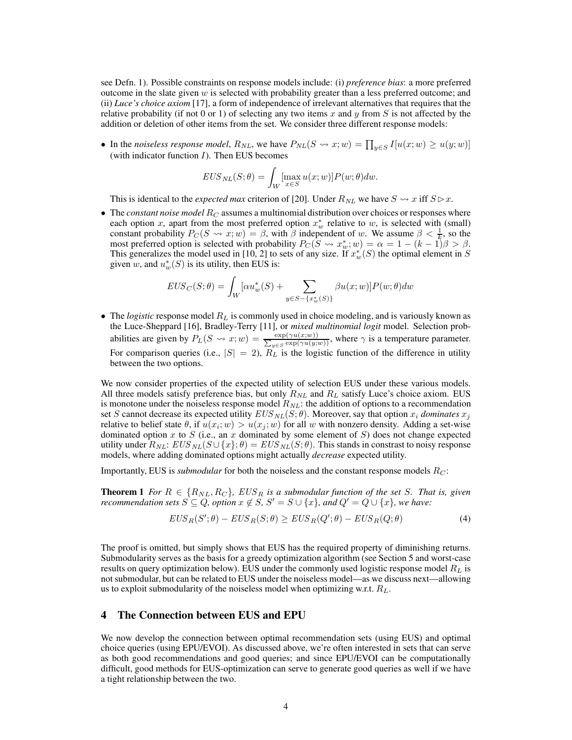see Defn. 1). Possible constraints on response models include: (i) *preference bias*: a more preferred outcome in the slate given  $w$  is selected with probability greater than a less preferred outcome; and (ii) *Luce's choice axiom* [17], a form of independence of irrelevant alternatives that requires that the relative probability (if not 0 or 1) of selecting any two items x and y from S is not affected by the addition or deletion of other items from the set. We consider three different response models:

• In the *noiseless response model*,  $R_{NL}$ , we have  $P_{NL}(S \leadsto x; w) = \prod_{y \in S} I[u(x; w) \ge u(y; w)]$ (with indicator function  $I$ ). Then EUS becomes

$$
EUS_{NL}(S; \theta) = \int_W \left[\max_{x \in S} u(x; w)\right] P(w; \theta) dw.
$$

This is identical to the *expected max* criterion of [20]. Under  $R_{NL}$  we have  $S \leadsto x$  iff  $S \triangleright x$ .

• The *constant noise model*  $R_C$  assumes a multinomial distribution over choices or responses where each option x, apart from the most preferred option  $x_w^*$  relative to w, is selected with (small) constant probability  $P_C(S \leadsto x; w) = \beta$ , with  $\beta$  independent of w. We assume  $\beta < \frac{1}{k}$ , so the most preferred option is selected with probability  $P_C(S \leadsto x_w^*; w) = \alpha = 1 - (k - 1)\beta > \beta$ . This generalizes the model used in [10, 2] to sets of any size. If  $x_w^*(S)$  the optimal element in S given w, and  $u_w^*(S)$  is its utility, then EUS is:

$$
EUS_C(S; \theta) = \int_W [\alpha u_w^*(S) + \sum_{y \in S - \{x_w^*(S)\}} \beta u(x; w)] P(w; \theta) dw
$$

• The *logistic* response model  $R_L$  is commonly used in choice modeling, and is variously known as the Luce-Sheppard [16], Bradley-Terry [11], or *mixed multinomial logit* model. Selection probabilities are given by  $P_L(S \rightsquigarrow x; w) = \frac{\exp(\gamma u(x;w))}{\sum_{u \in S} \exp(\gamma u(y;w))}$  $\frac{\exp(\gamma u(x;w))}{y \in S}$  where  $\gamma$  is a temperature parameter. For comparison queries (i.e.,  $|S| = 2$ ),  $R<sub>L</sub>$  is the logistic function of the difference in utility between the two options.

We now consider properties of the expected utility of selection EUS under these various models. All three models satisfy preference bias, but only  $R_{NL}$  and  $R_L$  satisfy Luce's choice axiom. EUS is monotone under the noiseless response model  $R_{NL}$ : the addition of options to a recommendation set S cannot decrease its expected utility  $EUS_{NL}(S; \theta)$ . Moreover, say that option  $x_i$  *dominates*  $x_j$ relative to belief state  $\theta$ , if  $u(x_i; w) > u(x_j; w)$  for all w with nonzero density. Adding a set-wise dominated option x to S (i.e., an x dominated by some element of S) does not change expected utility under  $R_{NL}: EUS_{NL}(S \cup \{x\}; \theta) = EUS_{NL}(S; \theta)$ . This stands in constrast to noisy response models, where adding dominated options might actually *decrease* expected utility.

Importantly, EUS is *submodular* for both the noiseless and the constant response models  $R_C$ :

**Theorem 1** *For*  $R \in \{R_{NL}, R_C\}$ ,  $EUS_R$  *is a submodular function of the set* S. That *is, given recommendation sets*  $S \subseteq Q$ *, option*  $x \notin S$ *,*  $S' = S \cup \{x\}$ *, and*  $Q' = Q \cup \{x\}$ *, we have:* 

$$
EUS_R(S';\theta) - EUS_R(S;\theta) \ge EUS_R(Q';\theta) - EUS_R(Q;\theta)
$$
\n(4)

The proof is omitted, but simply shows that EUS has the required property of diminishing returns. Submodularity serves as the basis for a greedy optimization algorithm (see Section 5 and worst-case results on query optimization below). EUS under the commonly used logistic response model  $R_L$  is not submodular, but can be related to EUS under the noiseless model—as we discuss next—allowing us to exploit submodularity of the noiseless model when optimizing w.r.t.  $R_L$ .

#### 4 The Connection between EUS and EPU

We now develop the connection between optimal recommendation sets (using EUS) and optimal choice queries (using EPU/EVOI). As discussed above, we're often interested in sets that can serve as both good recommendations and good queries; and since EPU/EVOI can be computationally difficult, good methods for EUS-optimization can serve to generate good queries as well if we have a tight relationship between the two.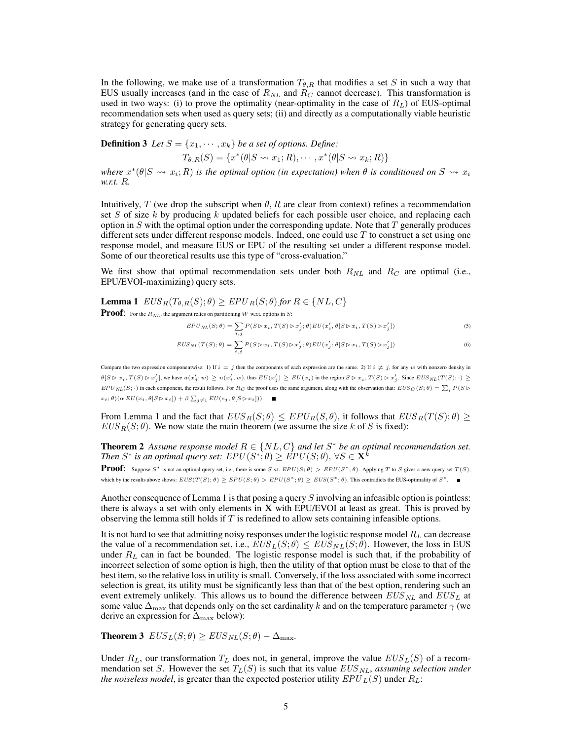In the following, we make use of a transformation  $T_{\theta,R}$  that modifies a set S in such a way that EUS usually increases (and in the case of  $R_{NL}$  and  $R_C$  cannot decrease). This transformation is used in two ways: (i) to prove the optimality (near-optimality in the case of  $R_L$ ) of EUS-optimal recommendation sets when used as query sets; (ii) and directly as a computationally viable heuristic strategy for generating query sets.

**Definition 3** *Let*  $S = \{x_1, \dots, x_k\}$  *be a set of options. Define:* 

$$
T_{\theta,R}(S) = \{x^*(\theta|S \leadsto x_1;R), \cdots, x^*(\theta|S \leadsto x_k;R)\}
$$

where  $x^*(\theta|S \leadsto x_i; R)$  *is the optimal option (in expectation) when*  $\theta$  *is conditioned on*  $S \leadsto x_i$ *w.r.t.* R*.*

Intuitively, T (we drop the subscript when  $\theta$ , R are clear from context) refines a recommendation set  $S$  of size  $k$  by producing  $k$  updated beliefs for each possible user choice, and replacing each option in  $S$  with the optimal option under the corresponding update. Note that  $T$  generally produces different sets under different response models. Indeed, one could use T to construct a set using one response model, and measure EUS or EPU of the resulting set under a different response model. Some of our theoretical results use this type of "cross-evaluation."

We first show that optimal recommendation sets under both  $R_{NL}$  and  $R_{C}$  are optimal (i.e., EPU/EVOI-maximizing) query sets.

**Lemma 1**  $EUS_R(T_{\theta,R}(S); \theta) \geq EPU_R(S; \theta)$  for  $R \in \{NL, C\}$ 

**Proof:** For the  $R_{NL}$ , the argument relies on partitioning W w.r.t. options in S:

$$
EPU_{NL}(S; \theta) = \sum_{i,j} P(S \triangleright x_i, T(S) \triangleright x'_j; \theta) EU(x'_i, \theta[S \triangleright x_i, T(S) \triangleright x'_j])
$$
\n<sup>(5)</sup>

$$
EUS_{NL}(T(S); \theta) = \sum_{i,j} P(S \triangleright x_i, T(S) \triangleright x_j'; \theta) EU(x_j'; \theta[S \triangleright x_i, T(S) \triangleright x_j'])
$$
(6)

Compare the two expression componentwise: 1) If  $i = j$  then the components of each expression are the same. 2) If  $i \neq j$ , for any w with nonzero density in  $\theta[S \rhd x_i, T(S) \rhd x'_j],$  we have  $u(x'_j; w) \geq u(x'_i, w)$ , thus  $EU(x'_j) \geq EU(x_i)$  in the region  $S \rhd x_i, T(S) \rhd x'_j$ . Since  $EUS_{NL}(T(S);\cdot) \geq 0$  $EPU_{NL}(S; \cdot)$  in each component, the result follows. For  $R_C$  the proof uses the same argument, along with the observation that:  $EUS_C(S; \theta) = \sum_i P(S \triangleright$  $x_i$ ;  $\theta$ )( $\alpha$   $EU(x_i, \theta[S \triangleright x_i]) + \beta \sum_{j \neq i} EU(s_j, \theta[S \triangleright x_i])$ ).

From Lemma 1 and the fact that  $EUS_R(S;\theta) \leq EPU_R(S;\theta)$ , it follows that  $EUS_R(T(S;\theta) \geq$  $EUS_R(S;\theta)$ . We now state the main theorem (we assume the size k of S is fixed):

**Theorem 2** Assume response model  $R \in \{NL, C\}$  and let  $S^*$  be an optimal recommendation set. Then  $S^*$  is an optimal query set:  $EPU(S^*;\theta) \geq \acute{E}PU(S;\theta), \, \forall S \in \textbf{X}^k$ 

**Proof:** Suppose  $S^*$  is not an optimal query set, i.e., there is some S s.t.  $EPU(S; \theta) > EPU(S^*; \theta)$ . Applying T to S gives a new query set  $T(S)$ , which by the results above shows:  $EUS(T(S); \theta) \ge EPU(S; \theta) > EPU(S^*; \theta) \ge EUS(S^*; \theta)$ . This contradicts the EUS-optimality of  $S^*$ .

Another consequence of Lemma 1 is that posing a query S involving an infeasible option is pointless: there is always a set with only elements in  $X$  with EPU/EVOI at least as great. This is proved by observing the lemma still holds if  $T$  is redefined to allow sets containing infeasible options.

It is not hard to see that admitting noisy responses under the logistic response model  $R<sub>L</sub>$  can decrease the value of a recommendation set, i.e.,  $EUS_L(S; \theta) \leq EUS_{NL}(S; \theta)$ . However, the loss in EUS under  $R_L$  can in fact be bounded. The logistic response model is such that, if the probability of incorrect selection of some option is high, then the utility of that option must be close to that of the best item, so the relative loss in utility is small. Conversely, if the loss associated with some incorrect selection is great, its utility must be significantly less than that of the best option, rendering such an event extremely unlikely. This allows us to bound the difference between  $EUS_{NL}$  and  $EUS_{L}$  at some value  $\Delta_{\text{max}}$  that depends only on the set cardinality k and on the temperature parameter  $\gamma$  (we derive an expression for  $\Delta_{\max}$  below):

**Theorem 3**  $EUS_L(S; \theta) \geq EUS_{NL}(S; \theta) - \Delta_{\text{max}}$ .

Under  $R_L$ , our transformation  $T_L$  does not, in general, improve the value  $EUS_L(S)$  of a recommendation set S. However the set  $T_L(S)$  is such that its value  $EUS_{NL}$ , *assuming selection under the noiseless model*, is greater than the expected posterior utility  $EPU_L(S)$  under  $R_L$ :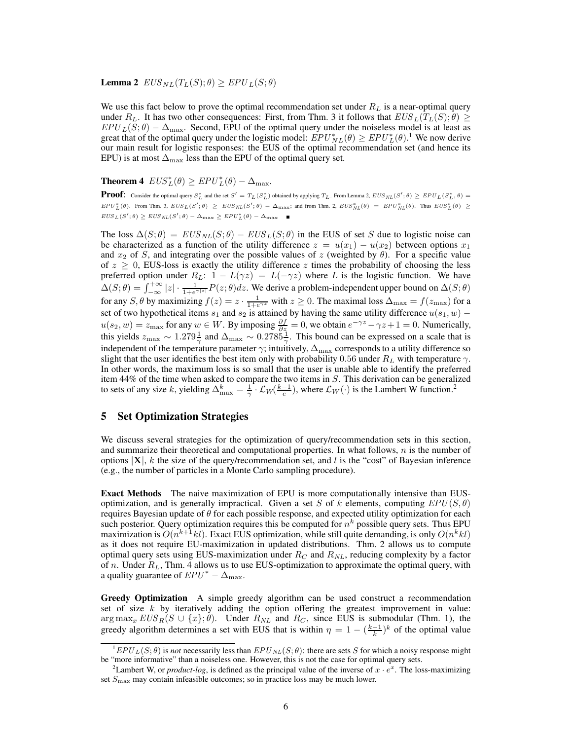#### **Lemma 2**  $EUS_{NL}(T_L(S); \theta) \geq EPU_L(S; \theta)$

We use this fact below to prove the optimal recommendation set under  $R_L$  is a near-optimal query under  $R_L$ . It has two other consequences: First, from Thm. 3 it follows that  $EUS_L(T_L(S); \theta) \geq$  $EPU_L(S;\theta) - \Delta_{\text{max}}$ . Second, EPU of the optimal query under the noiseless model is at least as great that of the optimal query under the logistic model:  $EPU_{NL}^*(\theta) \geq EPU_L^*(\theta)$ .<sup>1</sup> We now derive our main result for logistic responses: the EUS of the optimal recommendation set (and hence its EPU) is at most  $\Delta_{\text{max}}$  less than the EPU of the optimal query set.

# **Theorem 4**  $EUS_{L}^{*}(\theta) \geq EPU_{L}^{*}(\theta) - \Delta_{\text{max}}$ .

**Proof:** Consider the optimal query  $S_L^*$  and the set  $S' = T_L(S_L^*)$  obtained by applying  $T_L$ . From Lemma 2,  $EUS_{NL}(S';\theta) \geq EPU_L(S_L^*,\theta) =$  $EPU_L^*(\theta)$ . From Thm. 3,  $EUS_L(S';\theta) \geq EUS_{NL}(S';\theta) - \Delta_{\text{max}}$ ; and from Thm. 2,  $EUS_{NL}^*(\theta) = EPU_{NL}^*(\theta)$ . Thus  $EUS_L^*(\theta) \geq$  $EUS_L(S';\theta) \geq EUS_{NL}(S';\theta) - \Delta_{\text{max}} \geq EPU_L^*(\theta) - \Delta_{\text{max}}$ 

The loss  $\Delta(S; \theta) = EUS_{NL}(S; \theta) - EUS_{L}(S; \theta)$  in the EUS of set S due to logistic noise can be characterized as a function of the utility difference  $z = u(x_1) - u(x_2)$  between options  $x_1$ and  $x_2$  of S, and integrating over the possible values of z (weighted by  $\theta$ ). For a specific value of  $z \ge 0$ , EUS-loss is exactly the utility difference z times the probability of choosing the less preferred option under  $R_L$ :  $1 - L(\gamma z) = L(-\gamma z)$  where L is the logistic function. We have  $\Delta(S;\theta) = \int_{-\infty}^{+\infty} |z| \cdot \frac{1}{1+e^{\gamma|z|}} P(z;\theta) dz$ . We derive a problem-independent upper bound on  $\Delta(S;\theta)$ for any S,  $\theta$  by maximizing  $f(z) = z \cdot \frac{1}{1 + e^{\gamma z}}$  with  $z \ge 0$ . The maximal loss  $\Delta_{\text{max}} = f(z_{\text{max}})$  for a set of two hypothetical items  $s_1$  and  $s_2$  is attained by having the same utility difference  $u(s_1, w)$  −  $u(s_2, w) = z_{\text{max}}$  for any  $w \in W$ . By imposing  $\frac{\partial f}{\partial z} = 0$ , we obtain  $e^{-\gamma z} - \gamma z + 1 = 0$ . Numerically, this yields  $z_{\text{max}} \sim 1.279 \frac{1}{\gamma}$  and  $\Delta_{\text{max}} \sim 0.2785 \frac{1}{\gamma}$ . This bound can be expressed on a scale that is independent of the temperature parameter  $\gamma$ ; intuitively,  $\Delta_{\max}$  corresponds to a utility difference so slight that the user identifies the best item only with probability 0.56 under  $R_L$  with temperature  $\gamma$ . In other words, the maximum loss is so small that the user is unable able to identify the preferred item 44% of the time when asked to compare the two items in S. This derivation can be generalized to sets of any size k, yielding  $\Delta_{\max}^k = \frac{1}{\gamma} \cdot \mathcal{L}_W(\frac{k-1}{e})$ , where  $\mathcal{L}_W(\cdot)$  is the Lambert W function.<sup>2</sup>

### 5 Set Optimization Strategies

We discuss several strategies for the optimization of query/recommendation sets in this section, and summarize their theoretical and computational properties. In what follows,  $n$  is the number of options  $|X|$ , k the size of the query/recommendation set, and l is the "cost" of Bayesian inference (e.g., the number of particles in a Monte Carlo sampling procedure).

Exact Methods The naive maximization of EPU is more computationally intensive than EUSoptimization, and is generally impractical. Given a set S of k elements, computing  $EPU(S, \theta)$ requires Bayesian update of  $\theta$  for each possible response, and expected utility optimization for each such posterior. Query optimization requires this be computed for  $n^k$  possible query sets. Thus EPU maximization is  $O(n^{k+1} k l)$ . Exact EUS optimization, while still quite demanding, is only  $O(n^k k l)$ as it does not require EU-maximization in updated distributions. Thm. 2 allows us to compute optimal query sets using EUS-maximization under  $R_C$  and  $R_{NL}$ , reducing complexity by a factor of n. Under  $R_L$ , Thm. 4 allows us to use EUS-optimization to approximate the optimal query, with a quality guarantee of  $EPU^* - \Delta_{\text{max}}$ .

Greedy Optimization A simple greedy algorithm can be used construct a recommendation set of size  $k$  by iteratively adding the option offering the greatest improvement in value:  $\arg \max_x EUS_R(S \cup \{x\}; \theta)$ . Under  $R_{NL}$  and  $R_C$ , since EUS is submodular (Thm. 1), the greedy algorithm determines a set with EUS that is within  $\eta = 1 - \left(\frac{k-1}{k}\right)^k$  of the optimal value

 $EPU_L(S;\theta)$  is *not* necessarily less than  $EPU_{NL}(S;\theta)$ : there are sets S for which a noisy response might be "more informative" than a noiseless one. However, this is not the case for optimal query sets.

<sup>&</sup>lt;sup>2</sup>Lambert W, or *product-log*, is defined as the principal value of the inverse of  $x \cdot e^x$ . The loss-maximizing set  $S<sub>max</sub>$  may contain infeasible outcomes; so in practice loss may be much lower.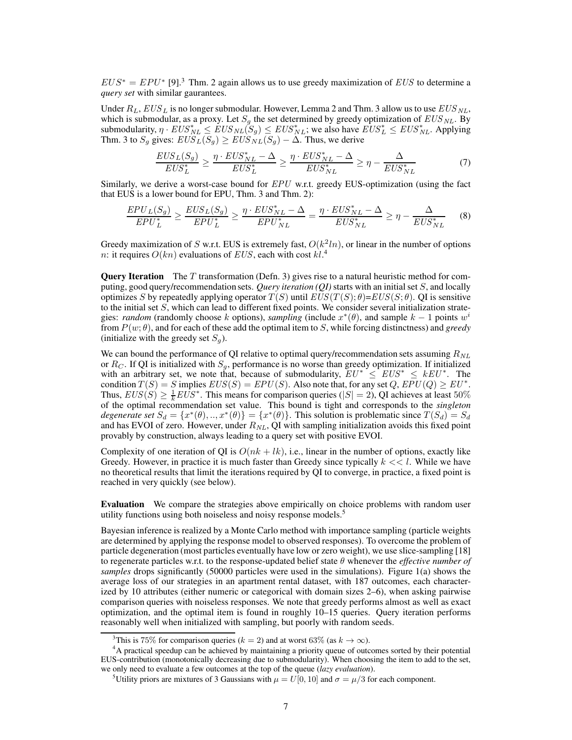$EUS^* = EPU^*$  [9].<sup>3</sup> Thm. 2 again allows us to use greedy maximization of  $EUS$  to determine a *query set* with similar gaurantees.

Under  $R_L$ ,  $EUS_L$  is no longer submodular. However, Lemma 2 and Thm. 3 allow us to use  $EUS_{NL}$ , which is submodular, as a proxy. Let  $S<sub>q</sub>$  the set determined by greedy optimization of  $EUS<sub>NL</sub>$ . By submodularity,  $\eta \cdot EUS_{NL}^* \leq EUS_{NL}(\tilde{S}_g) \leq EUS_{NL}^*$ ; we also have  $\tilde{EUS}_{L}^* \leq EUS_{NL}^*$ . Applying Thm. 3 to  $S_g$  gives:  $EU\widetilde{S}_L(\overline{S}_g) \geq EU\widetilde{S}_{NL}(\overline{S}_g) - \Delta$ . Thus, we derive

$$
\frac{EUS_L(S_g)}{EUS_L^*} \ge \frac{\eta \cdot EUS_{NL}^* - \Delta}{EUS_L^*} \ge \frac{\eta \cdot EUS_{NL}^* - \Delta}{EUS_{NL}^*} \ge \eta - \frac{\Delta}{EUS_{NL}^*}
$$
(7)

Similarly, we derive a worst-case bound for  $EPU$  w.r.t. greedy EUS-optimization (using the fact that EUS is a lower bound for EPU, Thm. 3 and Thm. 2):

$$
\frac{EPU_L(S_g)}{EPU_L^*} \ge \frac{EUS_L(S_g)}{EPU_L^*} \ge \frac{\eta \cdot EUS_{NL}^* - \Delta}{EPU_{NL}^*} = \frac{\eta \cdot EUS_{NL}^* - \Delta}{EUS_{NL}^*} \ge \eta - \frac{\Delta}{EUS_{NL}^*}
$$
(8)

Greedy maximization of S w.r.t. EUS is extremely fast,  $O(k^2ln)$ , or linear in the number of options n: it requires  $O(kn)$  evaluations of  $EUS$ , each with cost  $kl$ <sup>4</sup>

**Query Iteration** The  $T$  transformation (Defn. 3) gives rise to a natural heuristic method for computing, good query/recommendation sets. *Query iteration (QI)* starts with an initial set S, and locally optimizes S by repeatedly applying operator  $T(S)$  until  $EUS(T(S; \theta)) = EUS(S; \theta)$ . QI is sensitive to the initial set  $S$ , which can lead to different fixed points. We consider several initialization strategies: *random* (randomly choose k options), *sampling* (include  $x^*(\theta)$ , and sample  $k-1$  points  $w^i$ from  $P(w; \theta)$ , and for each of these add the optimal item to S, while forcing distinctness) and *greedy* (initialize with the greedy set  $S_g$ ).

We can bound the performance of QI relative to optimal query/recommendation sets assuming  $R_{NL}$ or  $R_C$ . If QI is initialized with  $S_q$ , performance is no worse than greedy optimization. If initialized with an arbitrary set, we note that, because of submodularity,  $EU^* \leq EUS^* \leq kEU^*$ . The condition  $T(S) = S$  implies  $EUS(S) = EPU(S)$ . Also note that, for any set  $Q$ ,  $EPU(Q) \geq EU^*$ . Thus,  $EUS(S) \geq \frac{1}{k}EUS^*$ . This means for comparison queries ( $|S| = 2$ ), QI achieves at least 50% of the optimal recommendation set value. This bound is tight and corresponds to the *singleton degenerate set*  $S_d = \{x^*(\theta), ..., x^*(\theta)\} = \{x^*(\theta)\}\$ . This solution is problematic since  $T(S_d) = S_d$ and has EVOI of zero. However, under  $R_{NL}$ , QI with sampling initialization avoids this fixed point provably by construction, always leading to a query set with positive EVOI.

Complexity of one iteration of QI is  $O(nk + lk)$ , i.e., linear in the number of options, exactly like Greedy. However, in practice it is much faster than Greedy since typically  $k \ll l$ . While we have no theoretical results that limit the iterations required by QI to converge, in practice, a fixed point is reached in very quickly (see below).

Evaluation We compare the strategies above empirically on choice problems with random user utility functions using both noiseless and noisy response models.<sup>5</sup>

Bayesian inference is realized by a Monte Carlo method with importance sampling (particle weights are determined by applying the response model to observed responses). To overcome the problem of particle degeneration (most particles eventually have low or zero weight), we use slice-sampling [18] to regenerate particles w.r.t. to the response-updated belief state θ whenever the *effective number of samples* drops significantly (50000 particles were used in the simulations). Figure 1(a) shows the average loss of our strategies in an apartment rental dataset, with 187 outcomes, each characterized by 10 attributes (either numeric or categorical with domain sizes 2–6), when asking pairwise comparison queries with noiseless responses. We note that greedy performs almost as well as exact optimization, and the optimal item is found in roughly 10–15 queries. Query iteration performs reasonably well when initialized with sampling, but poorly with random seeds.

<sup>&</sup>lt;sup>3</sup>This is 75% for comparison queries ( $k = 2$ ) and at worst 63% (as  $k \to \infty$ ).

<sup>&</sup>lt;sup>4</sup>A practical speedup can be achieved by maintaining a priority queue of outcomes sorted by their potential EUS-contribution (monotonically decreasing due to submodularity). When choosing the item to add to the set, we only need to evaluate a few outcomes at the top of the queue (*lazy evaluation*).

<sup>&</sup>lt;sup>5</sup>Utility priors are mixtures of 3 Gaussians with  $\mu = U[0, 10]$  and  $\sigma = \mu/3$  for each component.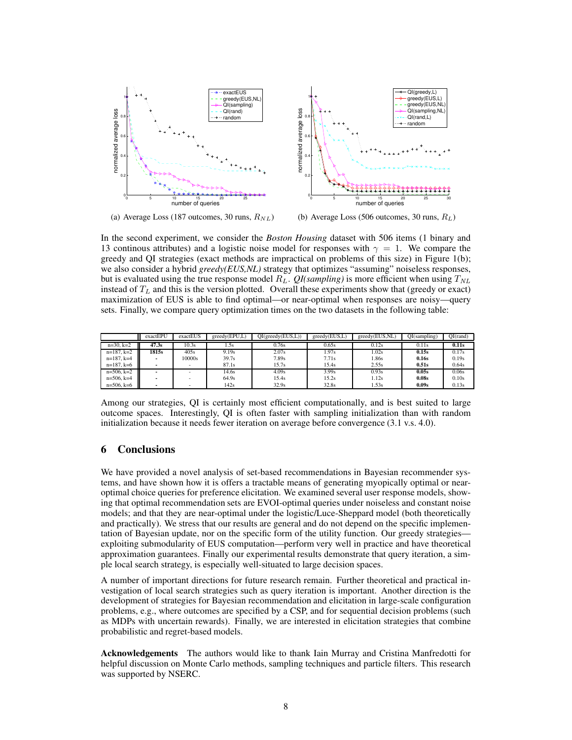

(a) Average Loss (187 outcomes, 30 runs,  $R_{NL}$ )

(b) Average Loss (506 outcomes, 30 runs,  $R_L$ )

In the second experiment, we consider the *Boston Housing* dataset with 506 items (1 binary and 13 continous attributes) and a logistic noise model for responses with  $\gamma = 1$ . We compare the greedy and QI strategies (exact methods are impractical on problems of this size) in Figure 1(b); we also consider a hybrid *greedy(EUS,NL)* strategy that optimizes "assuming" noiseless responses, but is evaluated using the true response model  $R_L$ . *QI(sampling)* is more efficient when using  $T_{NL}$ instead of  $T<sub>L</sub>$  and this is the version plotted. Overall these experiments show that (greedy or exact) maximization of EUS is able to find optimal—or near-optimal when responses are noisy—query sets. Finally, we compare query optimization times on the two datasets in the following table:

|                 | exactEPU | exactEUS | greedy(EPU, L) | OI(greedy(EUS, L)) | greedy(EUS, L) | greedy(EUS,NL) | OI(sampling) | $OI$ (rand) |
|-----------------|----------|----------|----------------|--------------------|----------------|----------------|--------------|-------------|
| $n=30, k=2$     | 47.3s    | 10.3s    | . .5s          | 0.76s              | 0.65s          | 0.12s          | 0.11s        | 0.11s       |
| $n=187, k=2$    | 1815s    | 405s     | 9.19s          | 2.07s              | 1.97s          | .02s           | 0.15s        | 0.17s       |
| $n=187, k=4$    |          | 10000s   | 39.7s          | 7.89s              | 7.71s          | .86s           | 0.16s        | 0.19s       |
| $n=187, k=6$    |          |          | 87.1s          | 15.7s              | 15.4s          | 2.55s          | 0.51s        | 0.64s       |
| $n=506, k=2$    |          |          | 14.6s          | 4.09s              | 3.99s          | 0.93s          | 0.05s        | 0.06s       |
| $n=506$ , $k=4$ |          |          | 64.9s          | 15.4s              | 15.2s          | 1.12s          | 0.08s        | 0.10s       |
| $n=506$ , $k=6$ |          |          | 142s           | 32.9s              | 32.8s          | 1.53s          | 0.09s        | 0.13s       |

Among our strategies, QI is certainly most efficient computationally, and is best suited to large outcome spaces. Interestingly, QI is often faster with sampling initialization than with random initialization because it needs fewer iteration on average before convergence (3.1 v.s. 4.0).

# 6 Conclusions

We have provided a novel analysis of set-based recommendations in Bayesian recommender systems, and have shown how it is offers a tractable means of generating myopically optimal or nearoptimal choice queries for preference elicitation. We examined several user response models, showing that optimal recommendation sets are EVOI-optimal queries under noiseless and constant noise models; and that they are near-optimal under the logistic/Luce-Sheppard model (both theoretically and practically). We stress that our results are general and do not depend on the specific implementation of Bayesian update, nor on the specific form of the utility function. Our greedy strategies exploiting submodularity of EUS computation—perform very well in practice and have theoretical approximation guarantees. Finally our experimental results demonstrate that query iteration, a simple local search strategy, is especially well-situated to large decision spaces.

A number of important directions for future research remain. Further theoretical and practical investigation of local search strategies such as query iteration is important. Another direction is the development of strategies for Bayesian recommendation and elicitation in large-scale configuration problems, e.g., where outcomes are specified by a CSP, and for sequential decision problems (such as MDPs with uncertain rewards). Finally, we are interested in elicitation strategies that combine probabilistic and regret-based models.

Acknowledgements The authors would like to thank Iain Murray and Cristina Manfredotti for helpful discussion on Monte Carlo methods, sampling techniques and particle filters. This research was supported by NSERC.